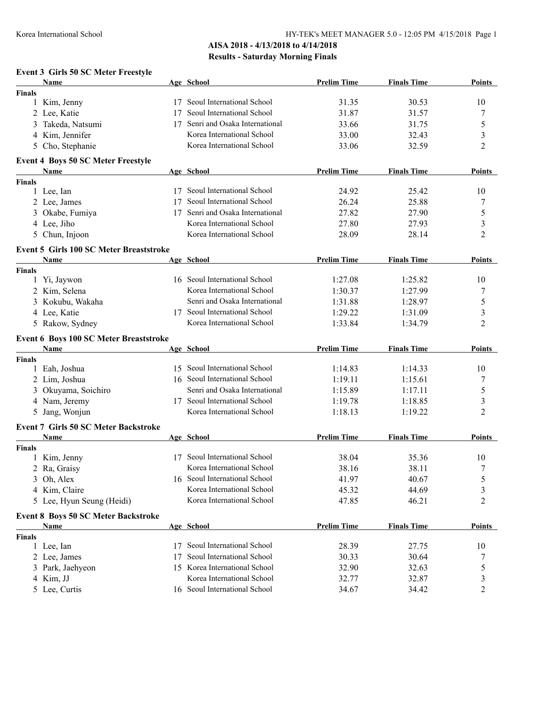### **AISA 2018 - 4/13/2018 to 4/14/2018 Results - Saturday Morning Finals**

# **Event 3 Girls 50 SC Meter Freestyle**

|               | Name                                           |    | Age School                    | <b>Prelim Time</b> | <b>Finals Time</b> | <b>Points</b>  |
|---------------|------------------------------------------------|----|-------------------------------|--------------------|--------------------|----------------|
| <b>Finals</b> |                                                |    |                               |                    |                    |                |
|               | 1 Kim, Jenny                                   |    | 17 Seoul International School | 31.35              | 30.53              | 10             |
|               | 2 Lee, Katie                                   | 17 | Seoul International School    | 31.87              | 31.57              | 7              |
| 3             | Takeda, Natsumi                                | 17 | Senri and Osaka International | 33.66              | 31.75              | 5              |
|               | 4 Kim, Jennifer                                |    | Korea International School    | 33.00              | 32.43              | 3              |
| 5             | Cho, Stephanie                                 |    | Korea International School    | 33.06              | 32.59              | 2              |
|               | <b>Event 4 Boys 50 SC Meter Freestyle</b>      |    |                               |                    |                    |                |
|               | Name                                           |    | Age School                    | <b>Prelim Time</b> | <b>Finals Time</b> | Points         |
| <b>Finals</b> |                                                |    |                               |                    |                    |                |
|               | 1 Lee, Ian                                     |    | 17 Seoul International School | 24.92              | 25.42              | 10             |
|               | 2 Lee, James                                   | 17 | Seoul International School    | 26.24              | 25.88              | 7              |
|               | 3 Okabe, Fumiya                                | 17 | Senri and Osaka International | 27.82              | 27.90              | 5              |
|               | 4 Lee, Jiho                                    |    | Korea International School    | 27.80              | 27.93              | 3              |
|               | 5 Chun, Injoon                                 |    | Korea International School    | 28.09              | 28.14              | 2              |
|               | <b>Event 5 Girls 100 SC Meter Breaststroke</b> |    |                               |                    |                    |                |
|               | <b>Name</b>                                    |    | Age School                    | <b>Prelim Time</b> | <b>Finals Time</b> | <b>Points</b>  |
| <b>Finals</b> |                                                |    |                               |                    |                    |                |
|               | 1 Yi, Jaywon                                   |    | 16 Seoul International School | 1:27.08            | 1:25.82            | 10             |
|               | 2 Kim, Selena                                  |    | Korea International School    | 1:30.37            | 1:27.99            | 7              |
|               | 3 Kokubu, Wakaha                               |    | Senri and Osaka International | 1:31.88            | 1:28.97            | 5              |
|               | 4 Lee, Katie                                   |    | 17 Seoul International School | 1:29.22            | 1:31.09            | 3              |
|               | 5 Rakow, Sydney                                |    | Korea International School    | 1:33.84            | 1:34.79            | 2              |
|               | <b>Event 6 Boys 100 SC Meter Breaststroke</b>  |    |                               |                    |                    |                |
|               | Name                                           |    | Age School                    | <b>Prelim Time</b> | <b>Finals Time</b> | <b>Points</b>  |
| <b>Finals</b> |                                                |    |                               |                    |                    |                |
|               | 1 Eah, Joshua                                  |    | 15 Seoul International School | 1:14.83            | 1:14.33            | 10             |
|               | 2 Lim, Joshua                                  |    | 16 Seoul International School | 1:19.11            | 1:15.61            | 7              |
| 3             | Okuyama, Soichiro                              |    | Senri and Osaka International | 1:15.89            | 1:17.11            | 5              |
|               | 4 Nam, Jeremy                                  |    | 17 Seoul International School | 1:19.78            | 1:18.85            | 3              |
|               | 5 Jang, Wonjun                                 |    | Korea International School    | 1:18.13            | 1:19.22            | 2              |
|               | <b>Event 7 Girls 50 SC Meter Backstroke</b>    |    |                               |                    |                    |                |
|               | Name                                           |    | Age School                    | <b>Prelim Time</b> | <b>Finals Time</b> | Points         |
| <b>Finals</b> |                                                |    |                               |                    |                    |                |
|               | 1 Kim, Jenny                                   |    | 17 Seoul International School | 38.04              | 35.36              | 10             |
|               | 2 Ra, Graisy                                   |    | Korea International School    | 38.16              | 38.11              | 7              |
|               | 3 Oh, Alex                                     |    | 16 Seoul International School | 41.97              | 40.67              | 5              |
|               | 4 Kim, Claire                                  |    | Korea International School    | 45.32              | 44.69              | 3              |
|               | 5 Lee, Hyun Seung (Heidi)                      |    | Korea International School    | 47.85              | 46.21              | $\overline{2}$ |
|               | <b>Event 8 Boys 50 SC Meter Backstroke</b>     |    |                               |                    |                    |                |
|               | <b>Name</b>                                    |    | Age School                    | <b>Prelim Time</b> | <b>Finals Time</b> | <b>Points</b>  |
| <b>Finals</b> |                                                |    |                               |                    |                    |                |
|               | 1 Lee, Ian                                     |    | 17 Seoul International School | 28.39              | 27.75              | 10             |
|               | 2 Lee, James                                   | 17 | Seoul International School    | 30.33              | 30.64              | 7              |
|               | 3 Park, Jaehyeon                               |    | 15 Korea International School | 32.90              | 32.63              | 5              |
|               | 4 Kim, JJ                                      |    | Korea International School    | 32.77              | 32.87              | 3              |
|               | 5 Lee, Curtis                                  |    | 16 Seoul International School | 34.67              | 34.42              | 2              |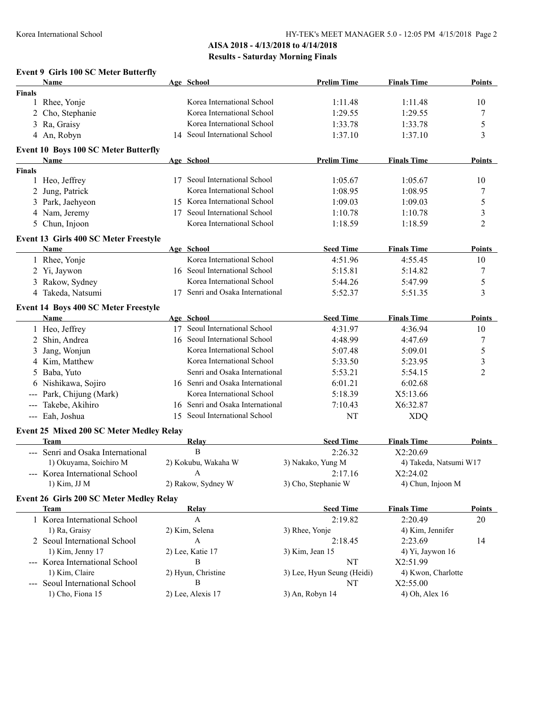## **AISA 2018 - 4/13/2018 to 4/14/2018 Results - Saturday Morning Finals**

#### **Event 9 Girls 100 SC Meter Butterfly**

|                           | Name                                        | Age School                       | <b>Prelim Time</b>         | <b>Finals Time</b>     | Points         |
|---------------------------|---------------------------------------------|----------------------------------|----------------------------|------------------------|----------------|
| <b>Finals</b>             |                                             |                                  |                            |                        |                |
| 1                         | Rhee, Yonje                                 | Korea International School       | 1:11.48                    | 1:11.48                | 10             |
| 2                         | Cho, Stephanie                              | Korea International School       | 1:29.55                    | 1:29.55                | $\overline{7}$ |
| 3                         | Ra, Graisy                                  | Korea International School       | 1:33.78                    | 1:33.78                | 5              |
|                           | 4 An, Robyn                                 | 14 Seoul International School    | 1:37.10                    | 1:37.10                | 3              |
|                           | <b>Event 10 Boys 100 SC Meter Butterfly</b> |                                  |                            |                        |                |
|                           | Name                                        | Age School                       | <b>Prelim Time</b>         | <b>Finals Time</b>     | Points         |
| <b>Finals</b>             |                                             |                                  |                            |                        |                |
|                           | 1 Heo, Jeffrey                              | 17 Seoul International School    | 1:05.67                    | 1:05.67                | 10             |
| 2                         | Jung, Patrick                               | Korea International School       | 1:08.95                    | 1:08.95                | 7              |
|                           | 3 Park, Jaehyeon                            | 15 Korea International School    | 1:09.03                    | 1:09.03                | 5              |
|                           | 4 Nam, Jeremy                               | 17 Seoul International School    | 1:10.78                    | 1:10.78                | 3              |
|                           | 5 Chun, Injoon                              | Korea International School       | 1:18.59                    | 1:18.59                | $\overline{2}$ |
|                           | Event 13 Girls 400 SC Meter Freestyle       |                                  |                            |                        |                |
|                           | Name                                        | Age School                       | <b>Seed Time</b>           | <b>Finals Time</b>     | <b>Points</b>  |
|                           | 1 Rhee, Yonje                               | Korea International School       | 4:51.96                    | 4:55.45                | 10             |
|                           | 2 Yi, Jaywon                                | 16 Seoul International School    | 5:15.81                    | 5:14.82                | 7              |
|                           | 3 Rakow, Sydney                             | Korea International School       | 5:44.26                    | 5:47.99                | 5              |
|                           | 4 Takeda, Natsumi                           | 17 Senri and Osaka International | 5:52.37                    | 5:51.35                | 3              |
|                           | <b>Event 14 Boys 400 SC Meter Freestyle</b> |                                  |                            |                        |                |
|                           | <b>Name</b>                                 | Age School                       | <b>Seed Time</b>           | <b>Finals Time</b>     | <b>Points</b>  |
|                           | 1 Heo, Jeffrey                              | 17 Seoul International School    | 4:31.97                    | 4:36.94                | 10             |
| 2                         | Shin, Andrea                                | 16 Seoul International School    | 4:48.99                    | 4:47.69                | 7              |
| 3                         | Jang, Wonjun                                | Korea International School       | 5:07.48                    | 5:09.01                | 5              |
|                           | 4 Kim, Matthew                              | Korea International School       | 5:33.50                    | 5:23.95                | 3              |
| 5                         | Baba, Yuto                                  | Senri and Osaka International    | 5:53.21                    | 5:54.15                | $\overline{2}$ |
|                           | 6 Nishikawa, Sojiro                         | 16 Senri and Osaka International | 6:01.21                    | 6:02.68                |                |
| ---                       | Park, Chijung (Mark)                        | Korea International School       | 5:18.39                    | X5:13.66               |                |
| $\qquad \qquad -\qquad -$ | Takebe, Akihiro                             | 16 Senri and Osaka International | 7:10.43                    | X6:32.87               |                |
|                           | --- Eah, Joshua                             | 15 Seoul International School    | NT                         | <b>XDQ</b>             |                |
|                           | Event 25 Mixed 200 SC Meter Medley Relay    |                                  |                            |                        |                |
|                           | Team                                        | <b>Relay</b>                     | <b>Seed Time</b>           | <b>Finals Time</b>     | Points         |
|                           | --- Senri and Osaka International           | $\, {\bf B}$                     | 2:26.32                    | X2:20.69               |                |
|                           | 1) Okuyama, Soichiro M                      | 2) Kokubu, Wakaha W              | 3) Nakako, Yung M          | 4) Takeda, Natsumi W17 |                |
|                           | --- Korea International School              | A                                | 2:17.16                    | X2:24.02               |                |
|                           | 1) Kim, JJ M                                | 2) Rakow, Sydney W               | 3) Cho, Stephanie W        | 4) Chun, Injoon M      |                |
|                           | Event 26 Girls 200 SC Meter Medley Relay    |                                  |                            |                        |                |
|                           | <b>Team</b>                                 | Relay                            | <b>Seed Time</b>           | <b>Finals Time</b>     | Points         |
|                           | 1 Korea International School                | A                                | 2:19.82                    | 2:20.49                | 20             |
|                           | 1) Ra, Graisy                               | 2) Kim, Selena                   | 3) Rhee, Yonje             | 4) Kim, Jennifer       |                |
|                           | 2 Seoul International School                | $\boldsymbol{A}$                 | 2:18.45                    | 2:23.69                | 14             |
|                           | 1) Kim, Jenny 17                            | 2) Lee, Katie 17                 | 3) Kim, Jean 15            | 4) Yi, Jaywon 16       |                |
|                           | --- Korea International School              | B                                | NT                         | X2:51.99               |                |
|                           | 1) Kim, Claire                              | 2) Hyun, Christine               | 3) Lee, Hyun Seung (Heidi) | 4) Kwon, Charlotte     |                |
|                           | Seoul International School                  | B                                | NT                         | X2:55.00               |                |
|                           | 1) Cho, Fiona 15                            | 2) Lee, Alexis 17                | 3) An, Robyn 14            | 4) Oh, Alex 16         |                |
|                           |                                             |                                  |                            |                        |                |